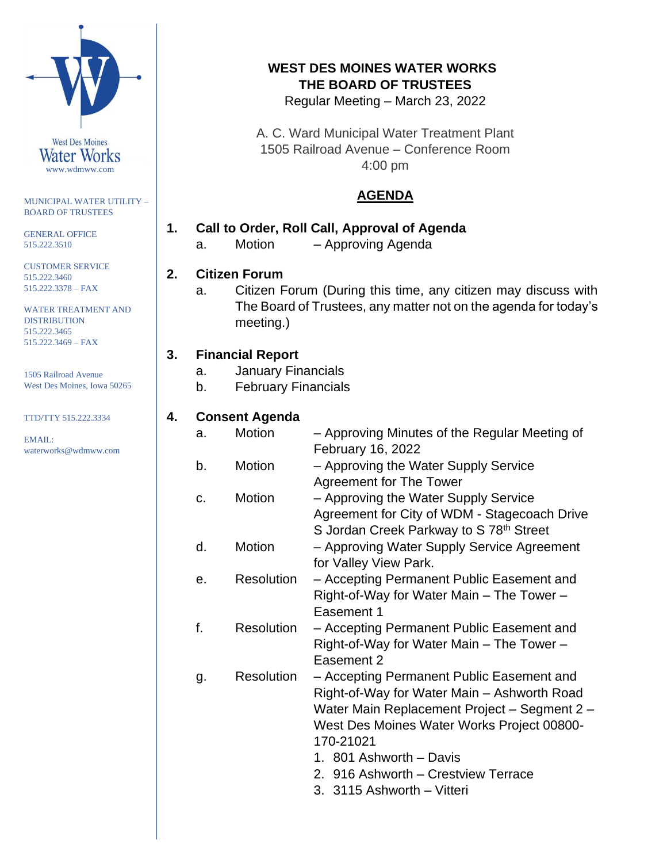

MUNICIPAL WATER UTILITY – BOARD OF TRUSTEES

GENERAL OFFICE 515.222.3510

CUSTOMER SERVICE 515.222.3460 515.222.3378 – FAX

WATER TREATMENT AND DISTRIBUTION 515.222.3465 515.222.3469 – FAX

1505 Railroad Avenue West Des Moines, Iowa 50265

TTD/TTY 515.222.3334

EMAIL: waterworks@wdmww.com

# **WEST DES MOINES WATER WORKS THE BOARD OF TRUSTEES**

Regular Meeting – March 23, 2022

A. C. Ward Municipal Water Treatment Plant 1505 Railroad Avenue – Conference Room 4:00 pm

# **AGENDA**

# **1. Call to Order, Roll Call, Approval of Agenda**

a. Motion – Approving Agenda

# **2. Citizen Forum**

a. Citizen Forum (During this time, any citizen may discuss with The Board of Trustees, any matter not on the agenda for today's meeting.)

# **3. Financial Report**

- a. January Financials
- b. February Financials

### **4. Consent Agenda**

| a. | <b>Motion</b>     | - Approving Minutes of the Regular Meeting of<br>February 16, 2022 |
|----|-------------------|--------------------------------------------------------------------|
| b. | Motion            | - Approving the Water Supply Service                               |
|    |                   | <b>Agreement for The Tower</b>                                     |
| C. | Motion            | - Approving the Water Supply Service                               |
|    |                   |                                                                    |
|    |                   | Agreement for City of WDM - Stagecoach Drive                       |
|    |                   | S Jordan Creek Parkway to S 78 <sup>th</sup> Street                |
| d. | Motion            | - Approving Water Supply Service Agreement                         |
|    |                   | for Valley View Park.                                              |
| е. | <b>Resolution</b> | - Accepting Permanent Public Easement and                          |
|    |                   | Right-of-Way for Water Main - The Tower -                          |
|    |                   | Easement 1                                                         |
|    |                   |                                                                    |
| f. | <b>Resolution</b> | - Accepting Permanent Public Easement and                          |
|    |                   | Right-of-Way for Water Main – The Tower –                          |
|    |                   | Easement 2                                                         |
| g. | Resolution        | - Accepting Permanent Public Easement and                          |
|    |                   | Right-of-Way for Water Main - Ashworth Road                        |
|    |                   | Water Main Replacement Project - Segment 2 -                       |
|    |                   | West Des Moines Water Works Project 00800-                         |
|    |                   |                                                                    |
|    |                   | 170-21021                                                          |
|    |                   | 1. 801 Ashworth - Davis                                            |
|    |                   | 2. 916 Ashworth – Crestview Terrace                                |
|    |                   | 3. 3115 Ashworth - Vitteri                                         |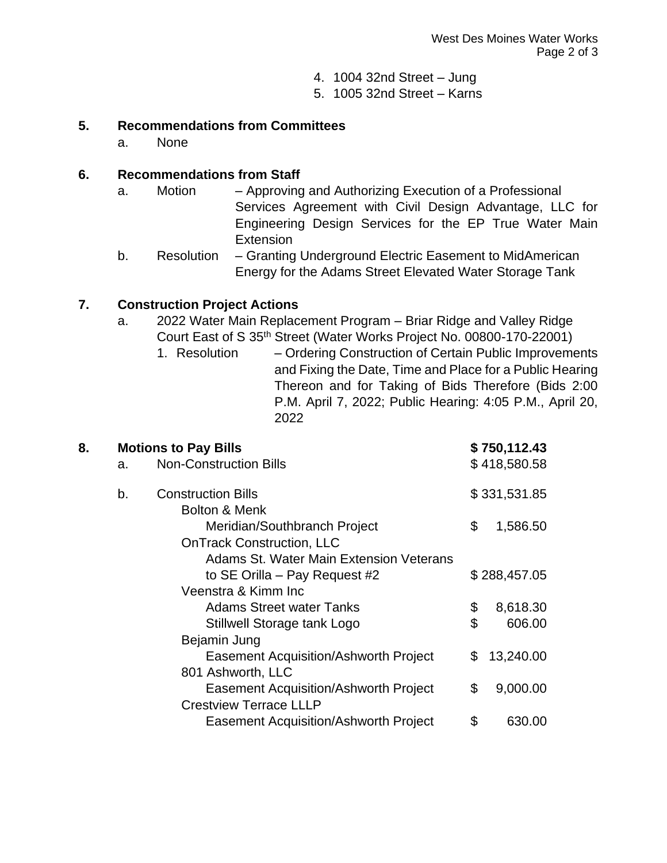- 4. 1004 32nd Street Jung
- 5. 1005 32nd Street Karns

#### **5. Recommendations from Committees**

a. None

#### **6. Recommendations from Staff**

- a. Motion Approving and Authorizing Execution of a Professional Services Agreement with Civil Design Advantage, LLC for Engineering Design Services for the EP True Water Main **Extension**
- b. Resolution Granting Underground Electric Easement to MidAmerican Energy for the Adams Street Elevated Water Storage Tank

#### **7. Construction Project Actions**

- a. 2022 Water Main Replacement Program Briar Ridge and Valley Ridge Court East of S 35th Street (Water Works Project No. 00800-170-22001)
	- 1. Resolution Ordering Construction of Certain Public Improvements and Fixing the Date, Time and Place for a Public Hearing Thereon and for Taking of Bids Therefore (Bids 2:00 P.M. April 7, 2022; Public Hearing: 4:05 P.M., April 20, 2022

| 8. |    | <b>Motions to Pay Bills</b>                                      |    | \$750,112.43                 |  |
|----|----|------------------------------------------------------------------|----|------------------------------|--|
|    | a. | <b>Non-Construction Bills</b><br>b.<br><b>Construction Bills</b> |    | \$418,580.58<br>\$331,531.85 |  |
|    |    |                                                                  |    |                              |  |
|    |    | <b>Bolton &amp; Menk</b>                                         |    |                              |  |
|    |    | Meridian/Southbranch Project                                     | \$ | 1,586.50                     |  |
|    |    | <b>OnTrack Construction, LLC</b>                                 |    |                              |  |
|    |    | Adams St. Water Main Extension Veterans                          |    |                              |  |
|    |    | to SE Orilla – Pay Request #2                                    |    | \$288,457.05                 |  |
|    |    | Veenstra & Kimm Inc                                              |    |                              |  |
|    |    | <b>Adams Street water Tanks</b>                                  | \$ | 8,618.30                     |  |
|    |    | Stillwell Storage tank Logo                                      | \$ | 606.00                       |  |
|    |    | Bejamin Jung                                                     |    |                              |  |
|    |    | <b>Easement Acquisition/Ashworth Project</b>                     | \$ | 13,240.00                    |  |
|    |    | 801 Ashworth, LLC                                                |    |                              |  |
|    |    | <b>Easement Acquisition/Ashworth Project</b>                     | \$ | 9,000.00                     |  |
|    |    | <b>Crestview Terrace LLLP</b>                                    |    |                              |  |
|    |    | <b>Easement Acquisition/Ashworth Project</b>                     | \$ | 630.00                       |  |